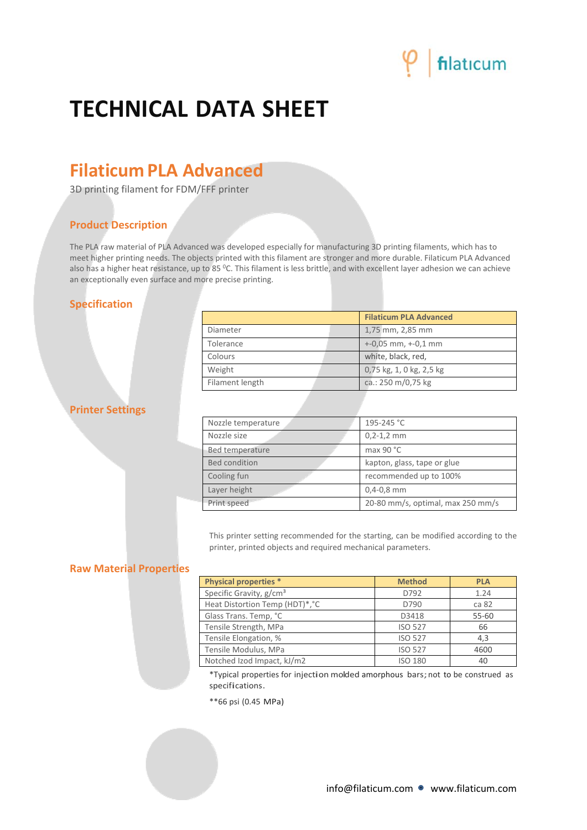## filaticum

### **TECHNICAL DATA SHEET**

### **FilaticumPLA Advanced**

3D printing filament for FDM/FFF printer

#### **Product Description**

The PLA raw material of PLA Advanced was developed especially for manufacturing 3D printing filaments, which has to meet higher printing needs. The objects printed with this filament are stronger and more durable. Filaticum PLA Advanced also has a higher heat resistance, up to 85 °C. This filament is less brittle, and with excellent layer adhesion we can achieve an exceptionally even surface and more precise printing.

#### **Specification**

|                 | <b>Filaticum PLA Advanced</b> |  |
|-----------------|-------------------------------|--|
| Diameter        | 1,75 mm, 2,85 mm              |  |
| Tolerance       | $+0.05$ mm, $+0.1$ mm         |  |
| Colours         | white, black, red,            |  |
| Weight          | 0,75 kg, 1, 0 kg, 2,5 kg      |  |
| Filament length | ca.: 250 m/0,75 kg            |  |

#### **Printer Settings**

| Nozzle temperature                               | 195-245 °C                  |  |
|--------------------------------------------------|-----------------------------|--|
| Nozzle size                                      | $0, 2 - 1, 2$ mm            |  |
| Bed temperature                                  | max 90 $^{\circ}$ C         |  |
| <b>Bed condition</b>                             | kapton, glass, tape or glue |  |
| Cooling fun                                      | recommended up to 100%      |  |
| Layer height<br>$0,4-0,8$ mm                     |                             |  |
| 20-80 mm/s, optimal, max 250 mm/s<br>Print speed |                             |  |

This printer setting recommended for the starting, can be modified according to the printer, printed objects and required mechanical parameters.

#### **Raw Material Properties**

| <b>Physical properties *</b>        | <b>Method</b>  | <b>PLA</b> |
|-------------------------------------|----------------|------------|
| Specific Gravity, g/cm <sup>3</sup> | D792           | 1.24       |
| Heat Distortion Temp (HDT)*, °C     | D790           | ca 82      |
| Glass Trans. Temp, °C               | D3418          | 55-60      |
| Tensile Strength, MPa               | <b>ISO 527</b> | 66         |
| Tensile Elongation, %               | <b>ISO 527</b> | 4,3        |
| Tensile Modulus, MPa                | <b>ISO 527</b> | 4600       |
| Notched Izod Impact, kJ/m2          | <b>ISO 180</b> | 40         |

\*Typical properties for injection molded amorphous bars;not to be construed as specifications.

\*\*66 psi (0.45 MPa)